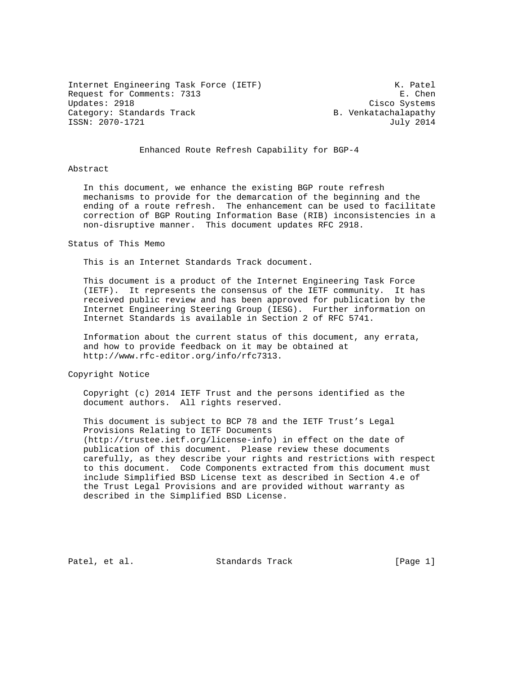Internet Engineering Task Force (IETF) The Contract Material Metal Contract Material Metal Metal Metal Metal Me Request for Comments: 7313 E. Chen<br>Updates: 2918 E. Chen Category: Standards Track B. Venkatachalapathy ISSN: 2070-1721 July 2014

Cisco Systems

# Enhanced Route Refresh Capability for BGP-4

#### Abstract

 In this document, we enhance the existing BGP route refresh mechanisms to provide for the demarcation of the beginning and the ending of a route refresh. The enhancement can be used to facilitate correction of BGP Routing Information Base (RIB) inconsistencies in a non-disruptive manner. This document updates RFC 2918.

#### Status of This Memo

This is an Internet Standards Track document.

 This document is a product of the Internet Engineering Task Force (IETF). It represents the consensus of the IETF community. It has received public review and has been approved for publication by the Internet Engineering Steering Group (IESG). Further information on Internet Standards is available in Section 2 of RFC 5741.

 Information about the current status of this document, any errata, and how to provide feedback on it may be obtained at http://www.rfc-editor.org/info/rfc7313.

Copyright Notice

 Copyright (c) 2014 IETF Trust and the persons identified as the document authors. All rights reserved.

 This document is subject to BCP 78 and the IETF Trust's Legal Provisions Relating to IETF Documents (http://trustee.ietf.org/license-info) in effect on the date of publication of this document. Please review these documents carefully, as they describe your rights and restrictions with respect to this document. Code Components extracted from this document must include Simplified BSD License text as described in Section 4.e of the Trust Legal Provisions and are provided without warranty as described in the Simplified BSD License.

Patel, et al. Standards Track [Page 1]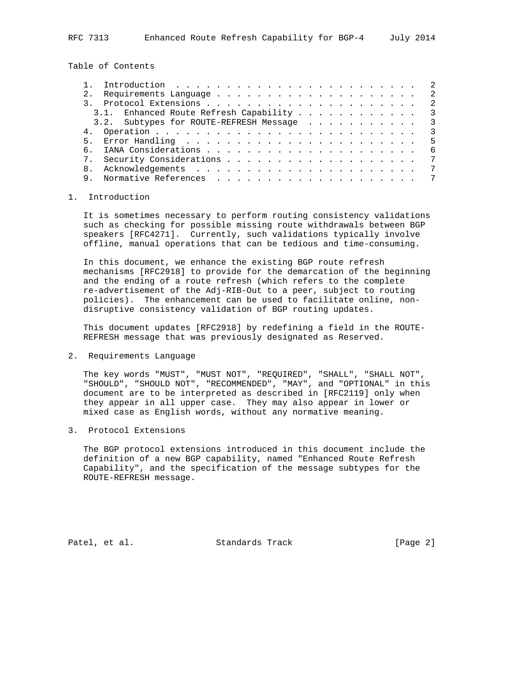Table of Contents

|     | Introduction $\ldots \ldots \ldots \ldots \ldots \ldots \ldots \ldots$ |                         |
|-----|------------------------------------------------------------------------|-------------------------|
| 2.1 |                                                                        |                         |
|     |                                                                        | -2                      |
|     | 3.1. Enhanced Route Refresh Capability                                 | $\overline{\mathbf{3}}$ |
|     | 3.2. Subtypes for ROUTE-REFRESH Message 3                              |                         |
|     |                                                                        | $\mathcal{S}$           |
|     |                                                                        | -5                      |
| რ — |                                                                        | - 6                     |
|     |                                                                        | 7                       |
|     |                                                                        | 7                       |
|     |                                                                        | 7                       |
|     |                                                                        |                         |

### 1. Introduction

 It is sometimes necessary to perform routing consistency validations such as checking for possible missing route withdrawals between BGP speakers [RFC4271]. Currently, such validations typically involve offline, manual operations that can be tedious and time-consuming.

 In this document, we enhance the existing BGP route refresh mechanisms [RFC2918] to provide for the demarcation of the beginning and the ending of a route refresh (which refers to the complete re-advertisement of the Adj-RIB-Out to a peer, subject to routing policies). The enhancement can be used to facilitate online, non disruptive consistency validation of BGP routing updates.

 This document updates [RFC2918] by redefining a field in the ROUTE- REFRESH message that was previously designated as Reserved.

2. Requirements Language

 The key words "MUST", "MUST NOT", "REQUIRED", "SHALL", "SHALL NOT", "SHOULD", "SHOULD NOT", "RECOMMENDED", "MAY", and "OPTIONAL" in this document are to be interpreted as described in [RFC2119] only when they appear in all upper case. They may also appear in lower or mixed case as English words, without any normative meaning.

3. Protocol Extensions

 The BGP protocol extensions introduced in this document include the definition of a new BGP capability, named "Enhanced Route Refresh Capability", and the specification of the message subtypes for the ROUTE-REFRESH message.

Patel, et al. Standards Track [Page 2]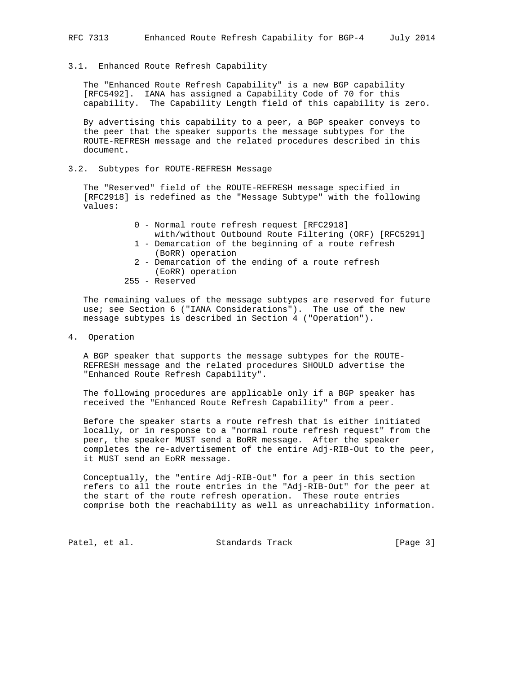### 3.1. Enhanced Route Refresh Capability

 The "Enhanced Route Refresh Capability" is a new BGP capability [RFC5492]. IANA has assigned a Capability Code of 70 for this capability. The Capability Length field of this capability is zero.

 By advertising this capability to a peer, a BGP speaker conveys to the peer that the speaker supports the message subtypes for the ROUTE-REFRESH message and the related procedures described in this document.

3.2. Subtypes for ROUTE-REFRESH Message

 The "Reserved" field of the ROUTE-REFRESH message specified in [RFC2918] is redefined as the "Message Subtype" with the following values:

- 0 Normal route refresh request [RFC2918]
- with/without Outbound Route Filtering (ORF) [RFC5291] 1 - Demarcation of the beginning of a route refresh
- (BoRR) operation
- 2 Demarcation of the ending of a route refresh (EoRR) operation
- 255 Reserved

 The remaining values of the message subtypes are reserved for future use; see Section 6 ("IANA Considerations"). The use of the new message subtypes is described in Section 4 ("Operation").

4. Operation

 A BGP speaker that supports the message subtypes for the ROUTE- REFRESH message and the related procedures SHOULD advertise the "Enhanced Route Refresh Capability".

 The following procedures are applicable only if a BGP speaker has received the "Enhanced Route Refresh Capability" from a peer.

 Before the speaker starts a route refresh that is either initiated locally, or in response to a "normal route refresh request" from the peer, the speaker MUST send a BoRR message. After the speaker completes the re-advertisement of the entire Adj-RIB-Out to the peer, it MUST send an EoRR message.

 Conceptually, the "entire Adj-RIB-Out" for a peer in this section refers to all the route entries in the "Adj-RIB-Out" for the peer at the start of the route refresh operation. These route entries comprise both the reachability as well as unreachability information.

Patel, et al. Standards Track [Page 3]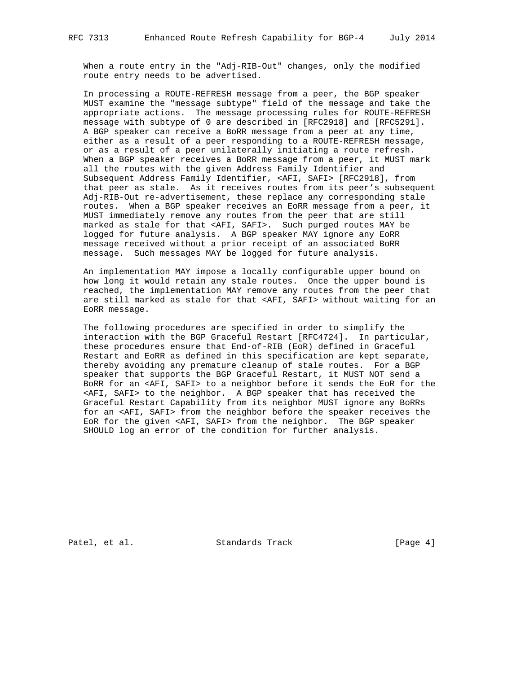When a route entry in the "Adj-RIB-Out" changes, only the modified route entry needs to be advertised.

 In processing a ROUTE-REFRESH message from a peer, the BGP speaker MUST examine the "message subtype" field of the message and take the appropriate actions. The message processing rules for ROUTE-REFRESH message with subtype of 0 are described in [RFC2918] and [RFC5291]. A BGP speaker can receive a BoRR message from a peer at any time, either as a result of a peer responding to a ROUTE-REFRESH message, or as a result of a peer unilaterally initiating a route refresh. When a BGP speaker receives a BoRR message from a peer, it MUST mark all the routes with the given Address Family Identifier and Subsequent Address Family Identifier, <AFI, SAFI> [RFC2918], from that peer as stale. As it receives routes from its peer's subsequent Adj-RIB-Out re-advertisement, these replace any corresponding stale routes. When a BGP speaker receives an EoRR message from a peer, it MUST immediately remove any routes from the peer that are still marked as stale for that <AFI, SAFI>. Such purged routes MAY be logged for future analysis. A BGP speaker MAY ignore any EoRR message received without a prior receipt of an associated BoRR message. Such messages MAY be logged for future analysis.

 An implementation MAY impose a locally configurable upper bound on how long it would retain any stale routes. Once the upper bound is reached, the implementation MAY remove any routes from the peer that are still marked as stale for that <AFI, SAFI> without waiting for an EoRR message.

 The following procedures are specified in order to simplify the interaction with the BGP Graceful Restart [RFC4724]. In particular, these procedures ensure that End-of-RIB (EoR) defined in Graceful Restart and EoRR as defined in this specification are kept separate, thereby avoiding any premature cleanup of stale routes. For a BGP speaker that supports the BGP Graceful Restart, it MUST NOT send a BoRR for an <AFI, SAFI> to a neighbor before it sends the EoR for the <AFI, SAFI> to the neighbor. A BGP speaker that has received the Graceful Restart Capability from its neighbor MUST ignore any BoRRs for an <AFI, SAFI> from the neighbor before the speaker receives the EoR for the given <AFI, SAFI> from the neighbor. The BGP speaker SHOULD log an error of the condition for further analysis.

Patel, et al. Standards Track [Page 4]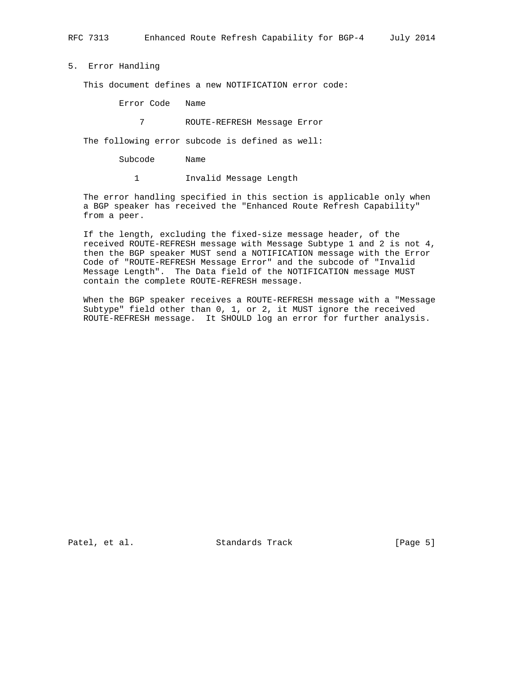5. Error Handling

This document defines a new NOTIFICATION error code:

Error Code Name

7 ROUTE-REFRESH Message Error

The following error subcode is defined as well:

Subcode Name

1 Invalid Message Length

 The error handling specified in this section is applicable only when a BGP speaker has received the "Enhanced Route Refresh Capability" from a peer.

 If the length, excluding the fixed-size message header, of the received ROUTE-REFRESH message with Message Subtype 1 and 2 is not 4, then the BGP speaker MUST send a NOTIFICATION message with the Error Code of "ROUTE-REFRESH Message Error" and the subcode of "Invalid Message Length". The Data field of the NOTIFICATION message MUST contain the complete ROUTE-REFRESH message.

 When the BGP speaker receives a ROUTE-REFRESH message with a "Message Subtype" field other than 0, 1, or 2, it MUST ignore the received ROUTE-REFRESH message. It SHOULD log an error for further analysis.

Patel, et al. Standards Track [Page 5]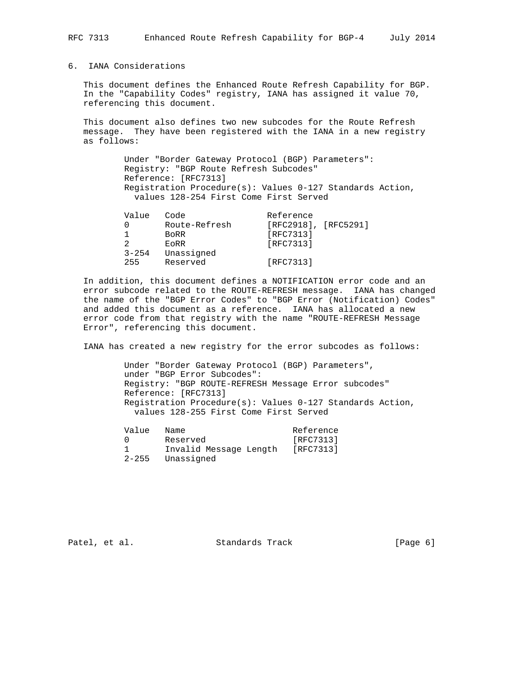# 6. IANA Considerations

 This document defines the Enhanced Route Refresh Capability for BGP. In the "Capability Codes" registry, IANA has assigned it value 70, referencing this document.

 This document also defines two new subcodes for the Route Refresh message. They have been registered with the IANA in a new registry as follows:

> Under "Border Gateway Protocol (BGP) Parameters": Registry: "BGP Route Refresh Subcodes" Reference: [RFC7313] Registration Procedure(s): Values 0-127 Standards Action, values 128-254 First Come First Served

| Value     | Code          | Reference                 |  |
|-----------|---------------|---------------------------|--|
|           | Route-Refresh | $[RFC2918]$ , $[RFC5291]$ |  |
|           | <b>BORR</b>   | [RFC7313]                 |  |
|           | EORR          | [RFC7313]                 |  |
| $3 - 254$ | Unassigned    |                           |  |
| 255       | Reserved      | [RFC7313]                 |  |

 In addition, this document defines a NOTIFICATION error code and an error subcode related to the ROUTE-REFRESH message. IANA has changed the name of the "BGP Error Codes" to "BGP Error (Notification) Codes" and added this document as a reference. IANA has allocated a new error code from that registry with the name "ROUTE-REFRESH Message Error", referencing this document.

IANA has created a new registry for the error subcodes as follows:

 Under "Border Gateway Protocol (BGP) Parameters", under "BGP Error Subcodes": Registry: "BGP ROUTE-REFRESH Message Error subcodes" Reference: [RFC7313] Registration Procedure(s): Values 0-127 Standards Action, values 128-255 First Come First Served

| Name                   | Reference                 |
|------------------------|---------------------------|
| Reserved               | [RFC7313]                 |
| Invalid Message Length | [RFC7313]                 |
|                        | Value<br>2-255 Unassigned |

Patel, et al. Standards Track [Page 6]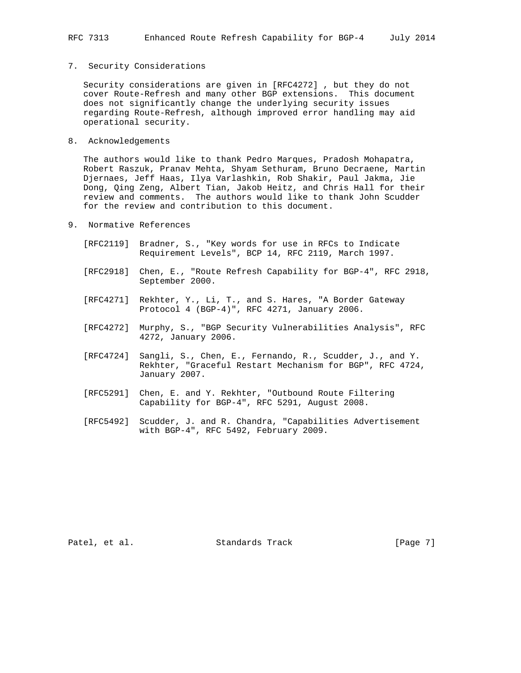### 7. Security Considerations

 Security considerations are given in [RFC4272] , but they do not cover Route-Refresh and many other BGP extensions. This document does not significantly change the underlying security issues regarding Route-Refresh, although improved error handling may aid operational security.

8. Acknowledgements

 The authors would like to thank Pedro Marques, Pradosh Mohapatra, Robert Raszuk, Pranav Mehta, Shyam Sethuram, Bruno Decraene, Martin Djernaes, Jeff Haas, Ilya Varlashkin, Rob Shakir, Paul Jakma, Jie Dong, Qing Zeng, Albert Tian, Jakob Heitz, and Chris Hall for their review and comments. The authors would like to thank John Scudder for the review and contribution to this document.

- 9. Normative References
	- [RFC2119] Bradner, S., "Key words for use in RFCs to Indicate Requirement Levels", BCP 14, RFC 2119, March 1997.
	- [RFC2918] Chen, E., "Route Refresh Capability for BGP-4", RFC 2918, September 2000.
- [RFC4271] Rekhter, Y., Li, T., and S. Hares, "A Border Gateway Protocol 4 (BGP-4)", RFC 4271, January 2006.
	- [RFC4272] Murphy, S., "BGP Security Vulnerabilities Analysis", RFC 4272, January 2006.
	- [RFC4724] Sangli, S., Chen, E., Fernando, R., Scudder, J., and Y. Rekhter, "Graceful Restart Mechanism for BGP", RFC 4724, January 2007.
	- [RFC5291] Chen, E. and Y. Rekhter, "Outbound Route Filtering Capability for BGP-4", RFC 5291, August 2008.
	- [RFC5492] Scudder, J. and R. Chandra, "Capabilities Advertisement with BGP-4", RFC 5492, February 2009.

Patel, et al. Standards Track [Page 7]